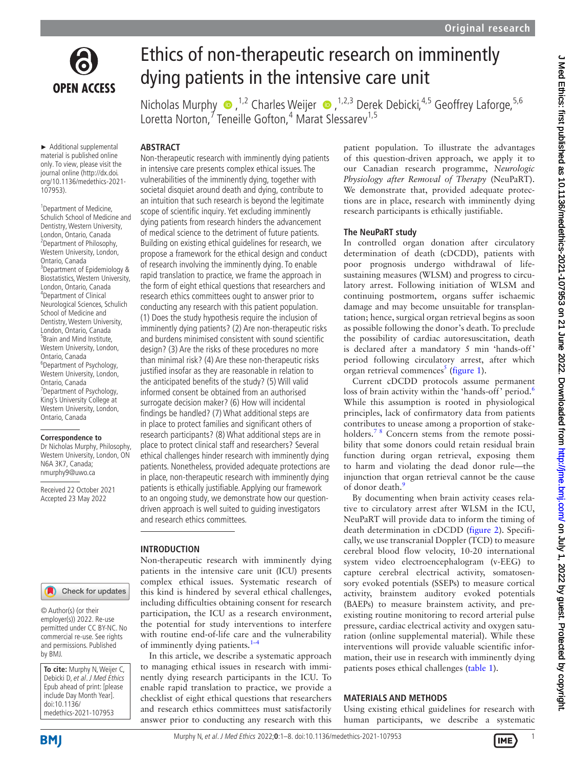

# Ethics of non-therapeutic research on imminently dying patients in the intensive care unit

NicholasMurphy  $\bullet$ , <sup>1,2</sup> Charles Weijer  $\bullet$ , <sup>1,2,3</sup> Derek Debicki, <sup>4,5</sup> Geoffrey Laforge, <sup>5,6</sup> Loretta Norton,<sup>7</sup> Teneille Gofton,<sup>4</sup> Marat Slessarev<sup>1,5</sup>

► Additional supplemental material is published online only. To view, please visit the journal online ([http://dx.doi.](http://dx.doi.org/10.1136/medethics-2021-107953) [org/10.1136/medethics-2021-](http://dx.doi.org/10.1136/medethics-2021-107953) [107953](http://dx.doi.org/10.1136/medethics-2021-107953)).

<sup>1</sup> Department of Medicine, Schulich School of Medicine and Dentistry, Western University, London, Ontario, Canada <sup>2</sup> Department of Philosophy, Western University, London, Ontario, Canada 3 Department of Epidemiology & Biostatistics, Western University, London, Ontario, Canada 4 Department of Clinical Neurological Sciences, Schulich School of Medicine and Dentistry, Western University, London, Ontario, Canada <sup>5</sup> Brain and Mind Institute, Western University, London, Ontario, Canada 6 Department of Psychology, Western University, London, Ontario, Canada <sup>7</sup> Department of Psychology, King's University College at Western University, London, Ontario, Canada

#### **Correspondence to**

Dr Nicholas Murphy, Philosophy, Western University, London, ON N6A 3K7, Canada; nmurphy9@uwo.ca

Received 22 October 2021 Accepted 23 May 2022

# **ABSTRACT** Non-therapeutic research with imminently dying patients in intensive care presents complex ethical issues. The vulnerabilities of the imminently dying, together with societal disquiet around death and dying, contribute to an intuition that such research is beyond the legitimate

scope of scientific inquiry. Yet excluding imminently dying patients from research hinders the advancement of medical science to the detriment of future patients. Building on existing ethical guidelines for research, we propose a framework for the ethical design and conduct of research involving the imminently dying. To enable rapid translation to practice, we frame the approach in the form of eight ethical questions that researchers and research ethics committees ought to answer prior to conducting any research with this patient population. (1) Does the study hypothesis require the inclusion of imminently dying patients? (2) Are non-therapeutic risks and burdens minimised consistent with sound scientific design? (3) Are the risks of these procedures no more than minimal risk? (4) Are these non-therapeutic risks justified insofar as they are reasonable in relation to the anticipated benefits of the study? (5) Will valid informed consent be obtained from an authorised surrogate decision maker? (6) How will incidental findings be handled? (7) What additional steps are in place to protect families and significant others of research participants? (8) What additional steps are in place to protect clinical staff and researchers? Several ethical challenges hinder research with imminently dying patients. Nonetheless, provided adequate protections are in place, non-therapeutic research with imminently dying patients is ethically justifiable. Applying our framework to an ongoing study, we demonstrate how our questiondriven approach is well suited to guiding investigators and research ethics committees.

#### **INTRODUCTION**

Check for updates

© Author(s) (or their employer(s)) 2022. Re-use permitted under CC BY-NC. No commercial re-use. See rights and permissions. Published by BMJ.

| To cite: Murphy N, Weijer C,   |
|--------------------------------|
| Debicki D, et al. J Med Ethics |
| Epub ahead of print: [please   |
| include Day Month Year].       |
| doi:10.1136/                   |
| medethics-2021-107953          |

Non-therapeutic research with imminently dying patients in the intensive care unit (ICU) presents complex ethical issues. Systematic research of this kind is hindered by several ethical challenges, including difficulties obtaining consent for research participation, the ICU as a research environment, the potential for study interventions to interfere with routine end-of-life care and the vulnerability of imminently dying patients. $1-4$ 

In this article, we describe a systematic approach to managing ethical issues in research with imminently dying research participants in the ICU. To enable rapid translation to practice, we provide a checklist of eight ethical questions that researchers and research ethics committees must satisfactorily answer prior to conducting any research with this patient population. To illustrate the advantages of this question-driven approach, we apply it to our Canadian research programme, *Neurologic Physiology after Removal of Therapy* (NeuPaRT). We demonstrate that, provided adequate protections are in place, research with imminently dying research participants is ethically justifiable.

## **The NeuPaRT study**

In controlled organ donation after circulatory determination of death (cDCDD), patients with poor prognosis undergo withdrawal of lifesustaining measures (WLSM) and progress to circulatory arrest. Following initiation of WLSM and continuing postmortem, organs suffer ischaemic damage and may become unsuitable for transplantation; hence, surgical organ retrieval begins as soon as possible following the donor's death. To preclude the possibility of cardiac autoresuscitation, death is declared after a mandatory 5 min 'hands-off' period following circulatory arrest, after which organ retrieval commences<sup>[5](#page-6-1)</sup> ([figure](#page-1-0) 1).

Current cDCDD protocols assume permanent loss of brain activity within the 'hands-off' period.<sup>[6](#page-6-2)</sup> While this assumption is rooted in physiological principles, lack of confirmatory data from patients contributes to unease among a proportion of stakeholders.<sup>78</sup> Concern stems from the remote possibility that some donors could retain residual brain function during organ retrieval, exposing them to harm and violating the dead donor rule—the injunction that organ retrieval cannot be the cause of donor death.<sup>[9](#page-6-4)</sup>

By documenting when brain activity ceases relative to circulatory arrest after WLSM in the ICU, NeuPaRT will provide data to inform the timing of death determination in cDCDD [\(figure](#page-1-1) 2). Specifically, we use transcranial Doppler (TCD) to measure cerebral blood flow velocity, 10-20 international system video electroencephalogram (v-EEG) to capture cerebral electrical activity, somatosensory evoked potentials (SSEPs) to measure cortical activity, brainstem auditory evoked potentials (BAEPs) to measure brainstem activity, and preexisting routine monitoring to record arterial pulse pressure, cardiac electrical activity and oxygen saturation ([online supplemental material](https://dx.doi.org/10.1136/medethics-2021-107953)). While these interventions will provide valuable scientific information, their use in research with imminently dying patients poses ethical challenges [\(table](#page-2-0) 1).

## **MATERIALS AND METHODS**

Using existing ethical guidelines for research with human participants, we describe a systematic



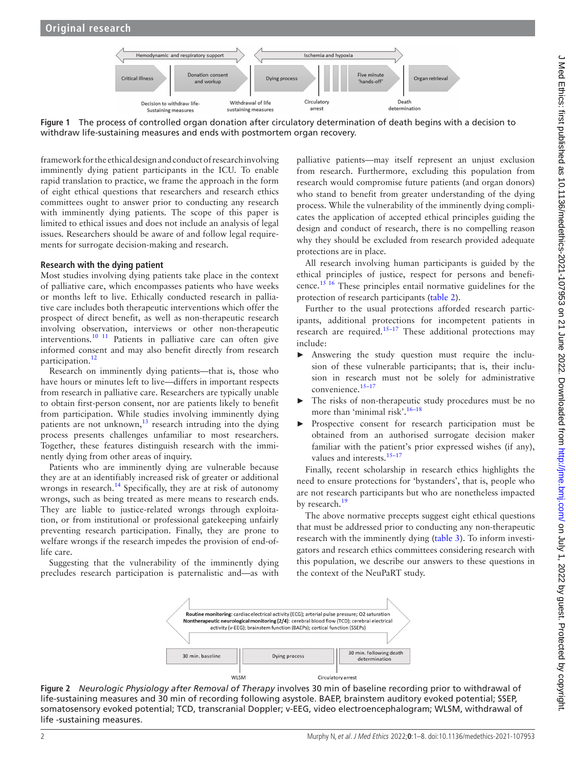<span id="page-1-0"></span>

**Figure 1** The process of controlled organ donation after circulatory determination of death begins with a decision to withdraw life-sustaining measures and ends with postmortem organ recovery.

framework for the ethical design and conduct of research involving imminently dying patient participants in the ICU. To enable rapid translation to practice, we frame the approach in the form of eight ethical questions that researchers and research ethics committees ought to answer prior to conducting any research with imminently dying patients. The scope of this paper is limited to ethical issues and does not include an analysis of legal issues. Researchers should be aware of and follow legal requirements for surrogate decision-making and research.

#### **Research with the dying patient**

Most studies involving dying patients take place in the context of palliative care, which encompasses patients who have weeks or months left to live. Ethically conducted research in palliative care includes both therapeutic interventions which offer the prospect of direct benefit, as well as non-therapeutic research involving observation, interviews or other non-therapeutic interventions.[10 11](#page-6-5) Patients in palliative care can often give informed consent and may also benefit directly from research participation.<sup>[12](#page-6-6)</sup>

Research on imminently dying patients—that is, those who have hours or minutes left to live—differs in important respects from research in palliative care. Researchers are typically unable to obtain first-person consent, nor are patients likely to benefit from participation. While studies involving imminently dying patients are not unknown,<sup>13</sup> research intruding into the dying process presents challenges unfamiliar to most researchers. Together, these features distinguish research with the imminently dying from other areas of inquiry.

Patients who are imminently dying are vulnerable because they are at an identifiably increased risk of greater or additional wrongs in research.<sup>14</sup> Specifically, they are at risk of autonomy wrongs, such as being treated as mere means to research ends. They are liable to justice-related wrongs through exploitation, or from institutional or professional gatekeeping unfairly preventing research participation. Finally, they are prone to welfare wrongs if the research impedes the provision of end-oflife care.

Suggesting that the vulnerability of the imminently dying precludes research participation is paternalistic and—as with

palliative patients—may itself represent an unjust exclusion from research. Furthermore, excluding this population from research would compromise future patients (and organ donors) who stand to benefit from greater understanding of the dying process. While the vulnerability of the imminently dying complicates the application of accepted ethical principles guiding the design and conduct of research, there is no compelling reason why they should be excluded from research provided adequate protections are in place.

All research involving human participants is guided by the ethical principles of justice, respect for persons and beneficence.[15 16](#page-6-9) These principles entail normative guidelines for the protection of research participants [\(table](#page-2-1) 2).

Further to the usual protections afforded research participants, additional protections for incompetent patients in research are required.<sup>[15–17](#page-6-9)</sup> These additional protections may include:

- ► Answering the study question must require the inclusion of these vulnerable participants; that is, their inclusion in research must not be solely for administrative convenience.<sup>15-17</sup>
- The risks of non-therapeutic study procedures must be no more than 'minimal risk'.<sup>16–18</sup>
- Prospective consent for research participation must be obtained from an authorised surrogate decision maker familiar with the patient's prior expressed wishes (if any), values and interests.<sup>15-17</sup>

Finally, recent scholarship in research ethics highlights the need to ensure protections for 'bystanders', that is, people who are not research participants but who are nonetheless impacted by research.<sup>[19](#page-6-11)</sup>

The above normative precepts suggest eight ethical questions that must be addressed prior to conducting any non-therapeutic research with the imminently dying ([table](#page-3-0) 3). To inform investigators and research ethics committees considering research with this population, we describe our answers to these questions in the context of the NeuPaRT study.

<span id="page-1-1"></span>

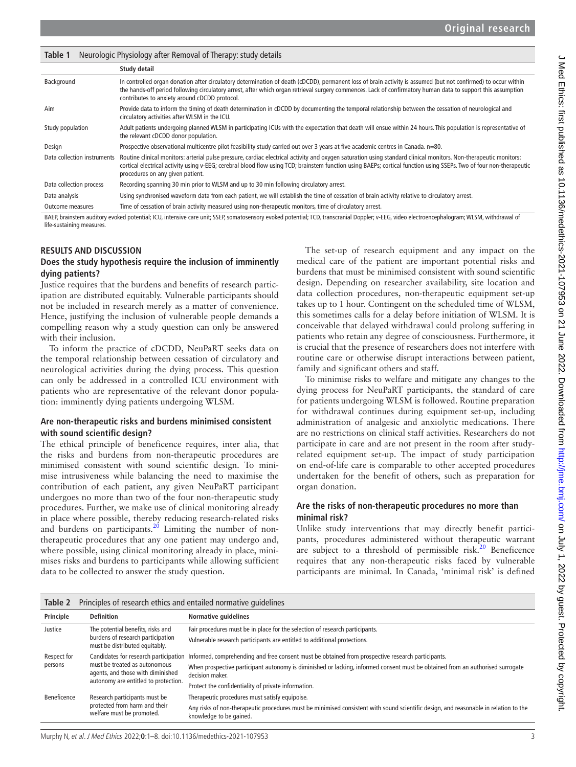<span id="page-2-0"></span>

| Neurologic Physiology after Removal of Therapy: study details<br>Table 1                                                                                                                     |                                                                                                                                                                                                                                                                                                                                                                                 |  |  |  |  |  |  |  |
|----------------------------------------------------------------------------------------------------------------------------------------------------------------------------------------------|---------------------------------------------------------------------------------------------------------------------------------------------------------------------------------------------------------------------------------------------------------------------------------------------------------------------------------------------------------------------------------|--|--|--|--|--|--|--|
|                                                                                                                                                                                              | Study detail                                                                                                                                                                                                                                                                                                                                                                    |  |  |  |  |  |  |  |
| Background                                                                                                                                                                                   | In controlled organ donation after circulatory determination of death (cDCDD), permanent loss of brain activity is assumed (but not confirmed) to occur within<br>the hands-off period following circulatory arrest, after which organ retrieval surgery commences. Lack of confirmatory human data to support this assumption<br>contributes to anxiety around cDCDD protocol. |  |  |  |  |  |  |  |
| Aim                                                                                                                                                                                          | Provide data to inform the timing of death determination in cDCDD by documenting the temporal relationship between the cessation of neurological and<br>circulatory activities after WLSM in the ICU.                                                                                                                                                                           |  |  |  |  |  |  |  |
| Study population                                                                                                                                                                             | Adult patients undergoing planned WLSM in participating ICUs with the expectation that death will ensue within 24 hours. This population is representative of<br>the relevant cDCDD donor population.                                                                                                                                                                           |  |  |  |  |  |  |  |
| Design                                                                                                                                                                                       | Prospective observational multicentre pilot feasibility study carried out over 3 years at five academic centres in Canada. n=80.                                                                                                                                                                                                                                                |  |  |  |  |  |  |  |
| Data collection instruments                                                                                                                                                                  | Routine clinical monitors: arterial pulse pressure, cardiac electrical activity and oxygen saturation using standard clinical monitors. Non-therapeutic monitors:<br>cortical electrical activity using v-EEG; cerebral blood flow using TCD; brainstem function using BAEPs; cortical function using SSEPs. Two of four non-therapeutic<br>procedures on any given patient.    |  |  |  |  |  |  |  |
| Data collection process                                                                                                                                                                      | Recording spanning 30 min prior to WLSM and up to 30 min following circulatory arrest.                                                                                                                                                                                                                                                                                          |  |  |  |  |  |  |  |
| Data analysis                                                                                                                                                                                | Using synchronised waveform data from each patient, we will establish the time of cessation of brain activity relative to circulatory arrest.                                                                                                                                                                                                                                   |  |  |  |  |  |  |  |
| <b>Outcome measures</b>                                                                                                                                                                      | Time of cessation of brain activity measured using non-therapeutic monitors, time of circulatory arrest.                                                                                                                                                                                                                                                                        |  |  |  |  |  |  |  |
| BAEP, brainstem auditory evoked potential; ICU, intensive care unit; SSEP, somatosensory evoked potential; TCD, transcranial Doppler; v-EEG, video electroencephalogram; WLSM, withdrawal of |                                                                                                                                                                                                                                                                                                                                                                                 |  |  |  |  |  |  |  |

life-sustaining measures.

## **RESULTS AND DISCUSSION**

#### **Does the study hypothesis require the inclusion of imminently dying patients?**

Justice requires that the burdens and benefits of research participation are distributed equitably. Vulnerable participants should not be included in research merely as a matter of convenience. Hence, justifying the inclusion of vulnerable people demands a compelling reason why a study question can only be answered with their inclusion.

To inform the practice of cDCDD, NeuPaRT seeks data on the temporal relationship between cessation of circulatory and neurological activities during the dying process. This question can only be addressed in a controlled ICU environment with patients who are representative of the relevant donor population: imminently dying patients undergoing WLSM.

#### **Are non-therapeutic risks and burdens minimised consistent with sound scientific design?**

The ethical principle of beneficence requires, inter alia, that the risks and burdens from non-therapeutic procedures are minimised consistent with sound scientific design. To minimise intrusiveness while balancing the need to maximise the contribution of each patient, any given NeuPaRT participant undergoes no more than two of the four non-therapeutic study procedures. Further, we make use of clinical monitoring already in place where possible, thereby reducing research-related risks and burdens on participants.<sup>20</sup> Limiting the number of nontherapeutic procedures that any one patient may undergo and, where possible, using clinical monitoring already in place, minimises risks and burdens to participants while allowing sufficient data to be collected to answer the study question.

The set-up of research equipment and any impact on the medical care of the patient are important potential risks and burdens that must be minimised consistent with sound scientific design. Depending on researcher availability, site location and data collection procedures, non-therapeutic equipment set-up takes up to 1 hour. Contingent on the scheduled time of WLSM, this sometimes calls for a delay before initiation of WLSM. It is conceivable that delayed withdrawal could prolong suffering in patients who retain any degree of consciousness. Furthermore, it is crucial that the presence of researchers does not interfere with routine care or otherwise disrupt interactions between patient, family and significant others and staff.

To minimise risks to welfare and mitigate any changes to the dying process for NeuPaRT participants, the standard of care for patients undergoing WLSM is followed. Routine preparation for withdrawal continues during equipment set-up, including administration of analgesic and anxiolytic medications. There are no restrictions on clinical staff activities. Researchers do not participate in care and are not present in the room after studyrelated equipment set-up. The impact of study participation on end-of-life care is comparable to other accepted procedures undertaken for the benefit of others, such as preparation for organ donation.

#### **Are the risks of non-therapeutic procedures no more than minimal risk?**

Unlike study interventions that may directly benefit participants, procedures administered without therapeutic warrant are subject to a threshold of permissible risk. $20$  Beneficence requires that any non-therapeutic risks faced by vulnerable participants are minimal. In Canada, 'minimal risk' is defined

<span id="page-2-1"></span>

| Table 2                | Principles of research ethics and entailed normative guidelines                                                                                     |                                                                                                                                                                 |  |  |  |  |  |
|------------------------|-----------------------------------------------------------------------------------------------------------------------------------------------------|-----------------------------------------------------------------------------------------------------------------------------------------------------------------|--|--|--|--|--|
| Principle              | <b>Definition</b>                                                                                                                                   | <b>Normative guidelines</b>                                                                                                                                     |  |  |  |  |  |
| Justice                | The potential benefits, risks and<br>burdens of research participation<br>must be distributed equitably.                                            | Fair procedures must be in place for the selection of research participants.                                                                                    |  |  |  |  |  |
|                        |                                                                                                                                                     | Vulnerable research participants are entitled to additional protections.                                                                                        |  |  |  |  |  |
| Respect for<br>persons | Candidates for research participation<br>must be treated as autonomous<br>agents, and those with diminished<br>autonomy are entitled to protection. | Informed, comprehending and free consent must be obtained from prospective research participants.                                                               |  |  |  |  |  |
|                        |                                                                                                                                                     | When prospective participant autonomy is diminished or lacking, informed consent must be obtained from an authorised surrogate<br>decision maker.               |  |  |  |  |  |
|                        |                                                                                                                                                     | Protect the confidentiality of private information.                                                                                                             |  |  |  |  |  |
| Beneficence            | Research participants must be                                                                                                                       | Therapeutic procedures must satisfy equipoise.                                                                                                                  |  |  |  |  |  |
|                        | protected from harm and their<br>welfare must be promoted.                                                                                          | Any risks of non-therapeutic procedures must be minimised consistent with sound scientific design, and reasonable in relation to the<br>knowledge to be gained. |  |  |  |  |  |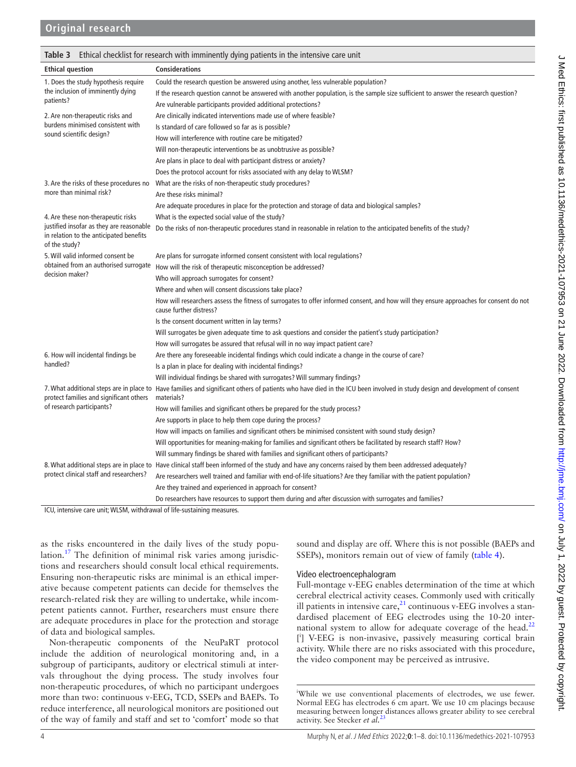<span id="page-3-0"></span>

| Ethical checklist for research with imminently dying patients in the intensive care unit<br>Table 3  |                                                                                                                                                                                           |  |  |  |  |  |  |
|------------------------------------------------------------------------------------------------------|-------------------------------------------------------------------------------------------------------------------------------------------------------------------------------------------|--|--|--|--|--|--|
| <b>Ethical question</b>                                                                              | <b>Considerations</b>                                                                                                                                                                     |  |  |  |  |  |  |
| 1. Does the study hypothesis require                                                                 | Could the research question be answered using another, less vulnerable population?                                                                                                        |  |  |  |  |  |  |
| the inclusion of imminently dying                                                                    | If the research question cannot be answered with another population, is the sample size sufficient to answer the research question?                                                       |  |  |  |  |  |  |
| patients?                                                                                            | Are vulnerable participants provided additional protections?                                                                                                                              |  |  |  |  |  |  |
| 2. Are non-therapeutic risks and                                                                     | Are clinically indicated interventions made use of where feasible?                                                                                                                        |  |  |  |  |  |  |
| burdens minimised consistent with                                                                    | Is standard of care followed so far as is possible?                                                                                                                                       |  |  |  |  |  |  |
| sound scientific design?                                                                             | How will interference with routine care be mitigated?                                                                                                                                     |  |  |  |  |  |  |
|                                                                                                      | Will non-therapeutic interventions be as unobtrusive as possible?                                                                                                                         |  |  |  |  |  |  |
|                                                                                                      | Are plans in place to deal with participant distress or anxiety?                                                                                                                          |  |  |  |  |  |  |
|                                                                                                      | Does the protocol account for risks associated with any delay to WLSM?                                                                                                                    |  |  |  |  |  |  |
| 3. Are the risks of these procedures no                                                              | What are the risks of non-therapeutic study procedures?                                                                                                                                   |  |  |  |  |  |  |
| more than minimal risk?                                                                              | Are these risks minimal?                                                                                                                                                                  |  |  |  |  |  |  |
|                                                                                                      | Are adequate procedures in place for the protection and storage of data and biological samples?                                                                                           |  |  |  |  |  |  |
| 4. Are these non-therapeutic risks                                                                   | What is the expected social value of the study?                                                                                                                                           |  |  |  |  |  |  |
| justified insofar as they are reasonable<br>in relation to the anticipated benefits<br>of the study? | Do the risks of non-therapeutic procedures stand in reasonable in relation to the anticipated benefits of the study?                                                                      |  |  |  |  |  |  |
| 5. Will valid informed consent be                                                                    | Are plans for surrogate informed consent consistent with local regulations?                                                                                                               |  |  |  |  |  |  |
| obtained from an authorised surrogate                                                                | How will the risk of therapeutic misconception be addressed?                                                                                                                              |  |  |  |  |  |  |
| decision maker?                                                                                      | Who will approach surrogates for consent?                                                                                                                                                 |  |  |  |  |  |  |
|                                                                                                      | Where and when will consent discussions take place?                                                                                                                                       |  |  |  |  |  |  |
|                                                                                                      | How will researchers assess the fitness of surrogates to offer informed consent, and how will they ensure approaches for consent do not<br>cause further distress?                        |  |  |  |  |  |  |
|                                                                                                      | Is the consent document written in lay terms?                                                                                                                                             |  |  |  |  |  |  |
|                                                                                                      | Will surrogates be given adequate time to ask questions and consider the patient's study participation?                                                                                   |  |  |  |  |  |  |
|                                                                                                      | How will surrogates be assured that refusal will in no way impact patient care?                                                                                                           |  |  |  |  |  |  |
| 6. How will incidental findings be                                                                   | Are there any foreseeable incidental findings which could indicate a change in the course of care?                                                                                        |  |  |  |  |  |  |
| handled?                                                                                             | Is a plan in place for dealing with incidental findings?                                                                                                                                  |  |  |  |  |  |  |
|                                                                                                      | Will individual findings be shared with surrogates? Will summary findings?                                                                                                                |  |  |  |  |  |  |
| protect families and significant others                                                              | 7. What additional steps are in place to Have families and significant others of patients who have died in the ICU been involved in study design and development of consent<br>materials? |  |  |  |  |  |  |
| of research participants?                                                                            | How will families and significant others be prepared for the study process?                                                                                                               |  |  |  |  |  |  |
|                                                                                                      | Are supports in place to help them cope during the process?                                                                                                                               |  |  |  |  |  |  |
|                                                                                                      | How will impacts on families and significant others be minimised consistent with sound study design?                                                                                      |  |  |  |  |  |  |
|                                                                                                      | Will opportunities for meaning-making for families and significant others be facilitated by research staff? How?                                                                          |  |  |  |  |  |  |
|                                                                                                      | Will summary findings be shared with families and significant others of participants?                                                                                                     |  |  |  |  |  |  |
|                                                                                                      | 8. What additional steps are in place to Have clinical staff been informed of the study and have any concerns raised by them been addressed adequately?                                   |  |  |  |  |  |  |
| protect clinical staff and researchers?                                                              | Are researchers well trained and familiar with end-of-life situations? Are they familiar with the patient population?                                                                     |  |  |  |  |  |  |
|                                                                                                      | Are they trained and experienced in approach for consent?                                                                                                                                 |  |  |  |  |  |  |
|                                                                                                      | Do researchers have resources to support them during and after discussion with surrogates and families?                                                                                   |  |  |  |  |  |  |
| ICU intensive care unit: WLSM withdrawal of life-sustaining measures                                 |                                                                                                                                                                                           |  |  |  |  |  |  |

ICU, intensive care unit; WLSM, withdrawal of life-sustaining measures.

as the risks encountered in the daily lives of the study popu-lation.<sup>[17](#page-6-13)</sup> The definition of minimal risk varies among jurisdictions and researchers should consult local ethical requirements. Ensuring non-therapeutic risks are minimal is an ethical imperative because competent patients can decide for themselves the research-related risk they are willing to undertake, while incompetent patients cannot. Further, researchers must ensure there are adequate procedures in place for the protection and storage of data and biological samples.

Non-therapeutic components of the NeuPaRT protocol include the addition of neurological monitoring and, in a subgroup of participants, auditory or electrical stimuli at intervals throughout the dying process. The study involves four non-therapeutic procedures, of which no participant undergoes more than two: continuous v-EEG, TCD, SSEPs and BAEPs. To reduce interference, all neurological monitors are positioned out of the way of family and staff and set to 'comfort' mode so that sound and display are off. Where this is not possible (BAEPs and SSEPs), monitors remain out of view of family ([table](#page-4-0) 4).

## Video electroencephalogram

Full-montage v-EEG enables determination of the time at which cerebral electrical activity ceases. Commonly used with critically ill patients in intensive care, $^{21}$  continuous v-EEG involves a standardised placement of EEG electrodes using the 10-20 inter-national system to allow for adequate coverage of the head.<sup>[22](#page-6-15)</sup> [ i ] V-EEG is non-invasive, passively measuring cortical brain activity. While there are no risks associated with this procedure, the video component may be perceived as intrusive.

i While we use conventional placements of electrodes, we use fewer. Normal EEG has electrodes 6 cm apart. We use 10 cm placings because measuring between longer distances allows greater ability to see cerebral activity. See Stecker *et al.*[23](#page-6-16)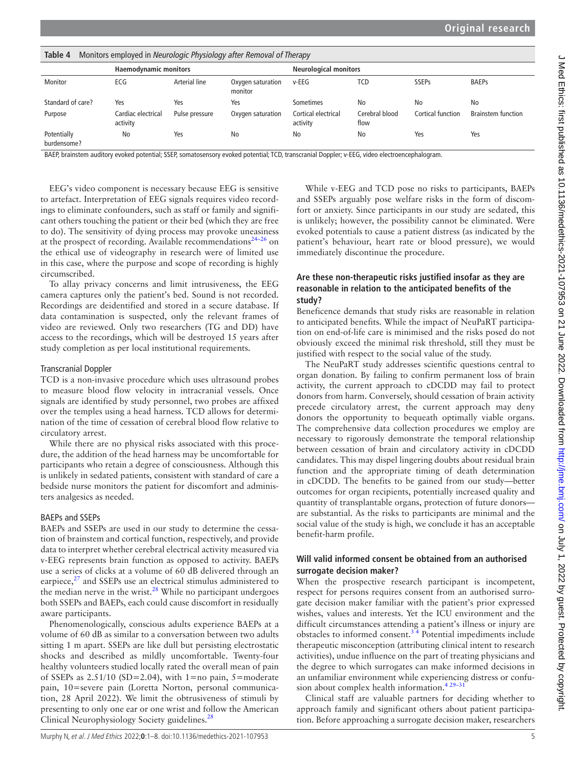<span id="page-4-0"></span>

| Table 4<br>Monitors employed in Neurologic Physiology after Removal of Therapy |                                |                |                              |                                 |                        |                   |                           |  |  |  |
|--------------------------------------------------------------------------------|--------------------------------|----------------|------------------------------|---------------------------------|------------------------|-------------------|---------------------------|--|--|--|
| <b>Haemodynamic monitors</b>                                                   |                                |                | <b>Neurological monitors</b> |                                 |                        |                   |                           |  |  |  |
| Monitor                                                                        | ECG                            | Arterial line  | Oxygen saturation<br>monitor | $v$ -EEG                        | TCD                    | <b>SSEPs</b>      | <b>BAEPs</b>              |  |  |  |
| Standard of care?                                                              | Yes                            | Yes            | Yes                          | Sometimes                       | No                     | No                | No                        |  |  |  |
| Purpose                                                                        | Cardiac electrical<br>activity | Pulse pressure | Oxygen saturation            | Cortical electrical<br>activity | Cerebral blood<br>flow | Cortical function | <b>Brainstem function</b> |  |  |  |
| Potentially<br>burdensome?                                                     | No                             | Yes            | No                           | No                              | No                     | Yes               | Yes                       |  |  |  |

BAEP, brainstem auditory evoked potential; SSEP, somatosensory evoked potential; TCD, transcranial Doppler; v-EEG, video electroencephalogram.

EEG's video component is necessary because EEG is sensitive to artefact. Interpretation of EEG signals requires video recordings to eliminate confounders, such as staff or family and significant others touching the patient or their bed (which they are free to do). The sensitivity of dying process may provoke uneasiness at the prospect of recording. Available recommendations<sup>24–26</sup> on the ethical use of videography in research were of limited use in this case, where the purpose and scope of recording is highly circumscribed.

To allay privacy concerns and limit intrusiveness, the EEG camera captures only the patient's bed. Sound is not recorded. Recordings are deidentified and stored in a secure database. If data contamination is suspected, only the relevant frames of video are reviewed. Only two researchers (TG and DD) have access to the recordings, which will be destroyed 15 years after study completion as per local institutional requirements.

#### Transcranial Doppler

TCD is a non-invasive procedure which uses ultrasound probes to measure blood flow velocity in intracranial vessels. Once signals are identified by study personnel, two probes are affixed over the temples using a head harness. TCD allows for determination of the time of cessation of cerebral blood flow relative to circulatory arrest.

While there are no physical risks associated with this procedure, the addition of the head harness may be uncomfortable for participants who retain a degree of consciousness. Although this is unlikely in sedated patients, consistent with standard of care a bedside nurse monitors the patient for discomfort and administers analgesics as needed.

## BAEPs and SSEPs

BAEPs and SSEPs are used in our study to determine the cessation of brainstem and cortical function, respectively, and provide data to interpret whether cerebral electrical activity measured via v-EEG represents brain function as opposed to activity. BAEPs use a series of clicks at a volume of 60 dB delivered through an earpiece, $2<sup>7</sup>$  and SSEPs use an electrical stimulus administered to the median nerve in the wrist. $28$  While no participant undergoes both SSEPs and BAEPs, each could cause discomfort in residually aware participants.

Phenomenologically, conscious adults experience BAEPs at a volume of 60 dB as similar to a conversation between two adults sitting 1 m apart. SSEPs are like dull but persisting electrostatic shocks and described as mildly uncomfortable. Twenty-four healthy volunteers studied locally rated the overall mean of pain of SSEPs as  $2.51/10$  (SD=2.04), with 1=no pain, 5=moderate pain, 10=severe pain (Loretta Norton, personal communication, 28 April 2022). We limit the obtrusiveness of stimuli by presenting to only one ear or one wrist and follow the American Clinical Neurophysiology Society guidelines.<sup>28</sup>

While v-EEG and TCD pose no risks to participants, BAEPs and SSEPs arguably pose welfare risks in the form of discomfort or anxiety. Since participants in our study are sedated, this is unlikely; however, the possibility cannot be eliminated. Were evoked potentials to cause a patient distress (as indicated by the patient's behaviour, heart rate or blood pressure), we would immediately discontinue the procedure.

## **Are these non-therapeutic risks justified insofar as they are reasonable in relation to the anticipated benefits of the study?**

Beneficence demands that study risks are reasonable in relation to anticipated benefits. While the impact of NeuPaRT participation on end-of-life care is minimised and the risks posed do not obviously exceed the minimal risk threshold, still they must be justified with respect to the social value of the study.

The NeuPaRT study addresses scientific questions central to organ donation. By failing to confirm permanent loss of brain activity, the current approach to cDCDD may fail to protect donors from harm. Conversely, should cessation of brain activity precede circulatory arrest, the current approach may deny donors the opportunity to bequeath optimally viable organs. The comprehensive data collection procedures we employ are necessary to rigorously demonstrate the temporal relationship between cessation of brain and circulatory activity in cDCDD candidates. This may dispel lingering doubts about residual brain function and the appropriate timing of death determination in cDCDD. The benefits to be gained from our study—better outcomes for organ recipients, potentially increased quality and quantity of transplantable organs, protection of future donors are substantial. As the risks to participants are minimal and the social value of the study is high, we conclude it has an acceptable benefit-harm profile.

## **Will valid informed consent be obtained from an authorised surrogate decision maker?**

When the prospective research participant is incompetent, respect for persons requires consent from an authorised surrogate decision maker familiar with the patient's prior expressed wishes, values and interests. Yet the ICU environment and the difficult circumstances attending a patient's illness or injury are obstacles to informed consent.<sup>34</sup> Potential impediments include therapeutic misconception (attributing clinical intent to research activities), undue influence on the part of treating physicians and the degree to which surrogates can make informed decisions in an unfamiliar environment while experiencing distress or confusion about complex health information.<sup>429-31</sup>

Clinical staff are valuable partners for deciding whether to approach family and significant others about patient participation. Before approaching a surrogate decision maker, researchers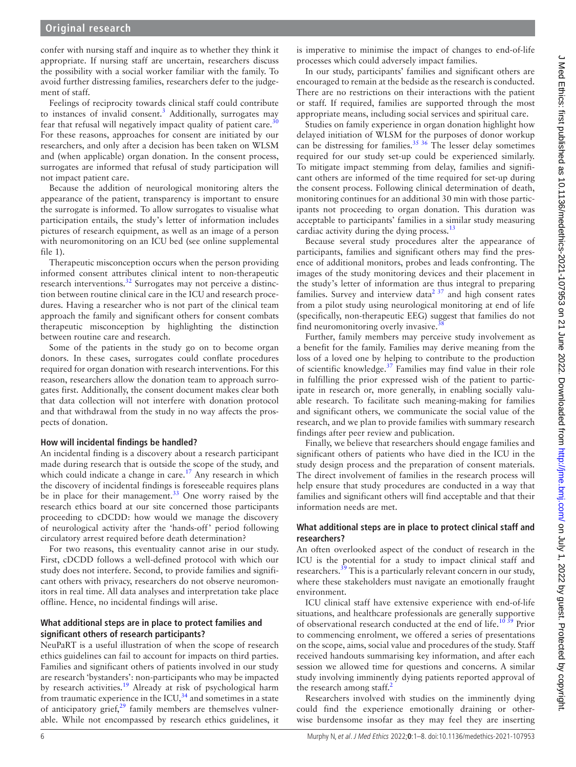confer with nursing staff and inquire as to whether they think it appropriate. If nursing staff are uncertain, researchers discuss the possibility with a social worker familiar with the family. To avoid further distressing families, researchers defer to the judgement of staff.

Feelings of reciprocity towards clinical staff could contribute to instances of invalid consent.<sup>[3](#page-6-20)</sup> Additionally, surrogates may fear that refusal will negatively impact quality of patient care. $30$ For these reasons, approaches for consent are initiated by our researchers, and only after a decision has been taken on WLSM and (when applicable) organ donation. In the consent process, surrogates are informed that refusal of study participation will not impact patient care.

Because the addition of neurological monitoring alters the appearance of the patient, transparency is important to ensure the surrogate is informed. To allow surrogates to visualise what participation entails, the study's letter of information includes pictures of research equipment, as well as an image of a person with neuromonitoring on an ICU bed (see [online supplemental](https://dx.doi.org/10.1136/medethics-2021-107953) [file 1\)](https://dx.doi.org/10.1136/medethics-2021-107953).

Therapeutic misconception occurs when the person providing informed consent attributes clinical intent to non-therapeutic research interventions.<sup>32</sup> Surrogates may not perceive a distinction between routine clinical care in the ICU and research procedures. Having a researcher who is not part of the clinical team approach the family and significant others for consent combats therapeutic misconception by highlighting the distinction between routine care and research.

Some of the patients in the study go on to become organ donors. In these cases, surrogates could conflate procedures required for organ donation with research interventions. For this reason, researchers allow the donation team to approach surrogates first. Additionally, the consent document makes clear both that data collection will not interfere with donation protocol and that withdrawal from the study in no way affects the prospects of donation.

## **How will incidental findings be handled?**

An incidental finding is a discovery about a research participant made during research that is outside the scope of the study, and which could indicate a change in care.<sup>[17](#page-6-13)</sup> Any research in which the discovery of incidental findings is foreseeable requires plans be in place for their management.<sup>[33](#page-7-1)</sup> One worry raised by the research ethics board at our site concerned those participants proceeding to cDCDD: how would we manage the discovery of neurological activity after the 'hands-off' period following circulatory arrest required before death determination?

For two reasons, this eventuality cannot arise in our study. First, cDCDD follows a well-defined protocol with which our study does not interfere. Second, to provide families and significant others with privacy, researchers do not observe neuromonitors in real time. All data analyses and interpretation take place offline. Hence, no incidental findings will arise.

## **What additional steps are in place to protect families and significant others of research participants?**

NeuPaRT is a useful illustration of when the scope of research ethics guidelines can fail to account for impacts on third parties. Families and significant others of patients involved in our study are research 'bystanders': non-participants who may be impacted by research activities.<sup>19</sup> Already at risk of psychological harm from traumatic experience in the ICU, $34$  and sometimes in a state of anticipatory grief, $2^9$  family members are themselves vulnerable. While not encompassed by research ethics guidelines, it is imperative to minimise the impact of changes to end-of-life processes which could adversely impact families.

In our study, participants' families and significant others are encouraged to remain at the bedside as the research is conducted. There are no restrictions on their interactions with the patient or staff. If required, families are supported through the most appropriate means, including social services and spiritual care.

Studies on family experience in organ donation highlight how delayed initiation of WLSM for the purposes of donor workup can be distressing for families.<sup>[35 36](#page-7-3)</sup> The lesser delay sometimes required for our study set-up could be experienced similarly. To mitigate impact stemming from delay, families and significant others are informed of the time required for set-up during the consent process. Following clinical determination of death, monitoring continues for an additional 30 min with those participants not proceeding to organ donation. This duration was acceptable to participants' families in a similar study measuring cardiac activity during the dying process. $^{13}$  $^{13}$  $^{13}$ 

Because several study procedures alter the appearance of participants, families and significant others may find the presence of additional monitors, probes and leads confronting. The images of the study monitoring devices and their placement in the study's letter of information are thus integral to preparing families. Survey and interview data<sup>[2 37](#page-6-24)</sup> and high consent rates from a pilot study using neurological monitoring at end of life (specifically, non-therapeutic EEG) suggest that families do not find neuromonitoring overly invasive.

Further, family members may perceive study involvement as a benefit for the family. Families may derive meaning from the loss of a loved one by helping to contribute to the production of scientific knowledge.<sup>[37](#page-7-5)</sup> Families may find value in their role in fulfilling the prior expressed wish of the patient to participate in research or, more generally, in enabling socially valuable research. To facilitate such meaning-making for families and significant others, we communicate the social value of the research, and we plan to provide families with summary research findings after peer review and publication.

Finally, we believe that researchers should engage families and significant others of patients who have died in the ICU in the study design process and the preparation of consent materials. The direct involvement of families in the research process will help ensure that study procedures are conducted in a way that families and significant others will find acceptable and that their information needs are met.

## **What additional steps are in place to protect clinical staff and researchers?**

An often overlooked aspect of the conduct of research in the ICU is the potential for a study to impact clinical staff and researchers.<sup>39</sup> This is a particularly relevant concern in our study, where these stakeholders must navigate an emotionally fraught environment.

ICU clinical staff have extensive experience with end-of-life situations, and healthcare professionals are generally supportive of observational research conducted at the end of life.<sup>10 39</sup> Prior to commencing enrolment, we offered a series of presentations on the scope, aims, social value and procedures of the study. Staff received handouts summarising key information, and after each session we allowed time for questions and concerns. A similar study involving imminently dying patients reported approval of the research among staff.<sup>[2](#page-6-24)</sup>

Researchers involved with studies on the imminently dying could find the experience emotionally draining or otherwise burdensome insofar as they may feel they are inserting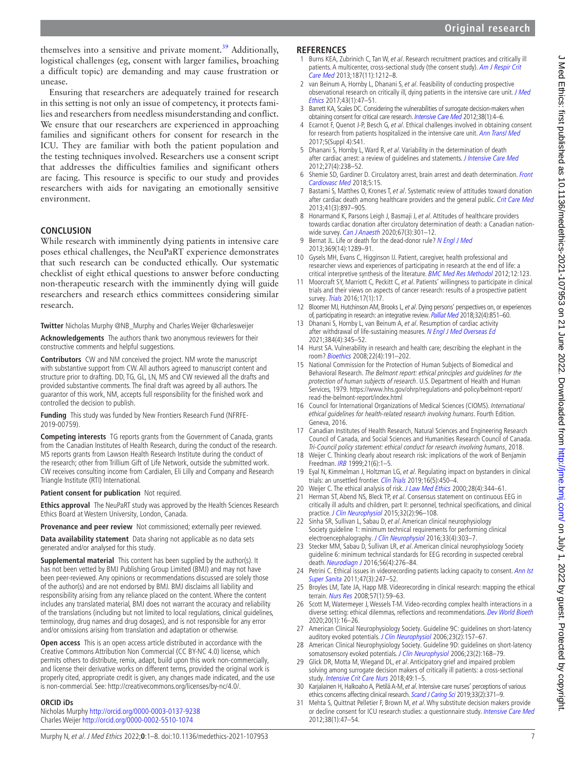themselves into a sensitive and private moment.<sup>[39](#page-7-6)</sup> Additionally, logistical challenges (eg, consent with larger families, broaching a difficult topic) are demanding and may cause frustration or unease.

Ensuring that researchers are adequately trained for research in this setting is not only an issue of competency, it protects families and researchers from needless misunderstanding and conflict. We ensure that our researchers are experienced in approaching families and significant others for consent for research in the ICU. They are familiar with both the patient population and the testing techniques involved. Researchers use a consent script that addresses the difficulties families and significant others are facing. This resource is specific to our study and provides researchers with aids for navigating an emotionally sensitive environment.

## **CONCLUSION**

While research with imminently dying patients in intensive care poses ethical challenges, the NeuPaRT experience demonstrates that such research can be conducted ethically. Our systematic checklist of eight ethical questions to answer before conducting non-therapeutic research with the imminently dying will guide researchers and research ethics committees considering similar research.

**Twitter** Nicholas Murphy [@NB\\_Murphy](https://twitter.com/NB_Murphy) and Charles Weijer [@charlesweijer](https://twitter.com/charlesweijer)

**Acknowledgements** The authors thank two anonymous reviewers for their constructive comments and helpful suggestions.

**Contributors** CW and NM conceived the project. NM wrote the manuscript with substantive support from CW. All authors agreed to manuscript content and structure prior to drafting. DD, TG, GL, LN, MS and CW reviewed all the drafts and provided substantive comments. The final draft was agreed by all authors. The guarantor of this work, NM, accepts full responsibility for the finished work and controlled the decision to publish.

**Funding** This study was funded by New Frontiers Research Fund (NFRFE-2019-00759).

**Competing interests** TG reports grants from the Government of Canada, grants from the Canadian Institutes of Health Research, during the conduct of the research. MS reports grants from Lawson Health Research Institute during the conduct of the research; other from Trillium Gift of Life Network, outside the submitted work. CW receives consulting income from Cardialen, Eli Lilly and Company and Research Triangle Institute (RTI) International.

**Patient consent for publication** Not required.

**Ethics approval** The NeuPaRT study was approved by the Health Sciences Research Ethics Board at Western University, London, Canada.

**Provenance and peer review** Not commissioned; externally peer reviewed.

**Data availability statement** Data sharing not applicable as no data sets generated and/or analysed for this study.

**Supplemental material** This content has been supplied by the author(s). It has not been vetted by BMJ Publishing Group Limited (BMJ) and may not have been peer-reviewed. Any opinions or recommendations discussed are solely those of the author(s) and are not endorsed by BMJ. BMJ disclaims all liability and responsibility arising from any reliance placed on the content. Where the content includes any translated material, BMJ does not warrant the accuracy and reliability of the translations (including but not limited to local regulations, clinical guidelines, terminology, drug names and drug dosages), and is not responsible for any error and/or omissions arising from translation and adaptation or otherwise.

**Open access** This is an open access article distributed in accordance with the Creative Commons Attribution Non Commercial (CC BY-NC 4.0) license, which permits others to distribute, remix, adapt, build upon this work non-commercially, and license their derivative works on different terms, provided the original work is properly cited, appropriate credit is given, any changes made indicated, and the use is non-commercial. See: <http://creativecommons.org/licenses/by-nc/4.0/>.

## **ORCID iDs**

Nicholas Murphy <http://orcid.org/0000-0003-0137-9238> Charles Weijer<http://orcid.org/0000-0002-5510-1074>

#### **REFERENCES**

- <span id="page-6-0"></span>1 Burns KEA, Zubrinich C, Tan W, et al. Research recruitment practices and critically ill patients. A multicenter, cross-sectional study (the consent study). Am J Respir Crit [Care Med](http://dx.doi.org/10.1164/rccm.201208-1537OC) 2013;187(11):1212–8.
- <span id="page-6-24"></span>2 van Beinum A, Hornby L, Dhanani S, et al. Feasibility of conducting prospective observational research on critically ill, dying patients in the intensive care unit. J Med [Ethics](http://dx.doi.org/10.1136/medethics-2016-103683) 2017;43(1):47–51.
- <span id="page-6-20"></span>3 Barrett KA, Scales DC. Considering the vulnerabilities of surrogate decision-makers when obtaining consent for critical care research. [Intensive Care Med](http://dx.doi.org/10.1007/s00134-011-2430-y) 2012;38(1):4-6.
- <span id="page-6-21"></span>4 Ecarnot F, Quenot J-P, Besch G, et al. Ethical challenges involved in obtaining consent for research from patients hospitalized in the intensive care unit. [Ann Transl Med](http://dx.doi.org/10.21037/atm.2017.04.42) 2017;5(Suppl 4):S41.
- <span id="page-6-1"></span>5 Dhanani S, Hornby L, Ward R, et al. Variability in the determination of death after cardiac arrest: a review of guidelines and statements. [J Intensive Care Med](http://dx.doi.org/10.1177/0885066610396993) 2012;27(4):238–52.
- <span id="page-6-2"></span>6 Shemie SD, Gardiner D. Circulatory arrest, brain arrest and death determination. Front [Cardiovasc Med](http://dx.doi.org/10.3389/fcvm.2018.00015) 2018;5:15.
- <span id="page-6-3"></span>7 Bastami S, Matthes O, Krones T, et al. Systematic review of attitudes toward donation after cardiac death among healthcare providers and the general public. [Crit Care Med](http://dx.doi.org/10.1097/CCM.0b013e31827585fe) 2013;41(3):897–905.
- 8 Honarmand K, Parsons Leigh J, Basmaji J, et al. Attitudes of healthcare providers towards cardiac donation after circulatory determination of death: a Canadian nation-wide survey. [Can J Anaesth](http://dx.doi.org/10.1007/s12630-019-01559-6) 2020;67(3):301-12.
- <span id="page-6-4"></span>9 Bernat JL. Life or death for the dead-donor rule? [N Engl J Med](http://dx.doi.org/10.1056/NEJMp1308078) 2013;369(14):1289–91.
- <span id="page-6-5"></span>10 Gysels MH, Evans C, Higginson IJ. Patient, caregiver, health professional and researcher views and experiences of participating in research at the end of life: a critical interpretive synthesis of the literature. [BMC Med Res Methodol](http://dx.doi.org/10.1186/1471-2288-12-123) 2012;12:123.
- 11 Moorcraft SY, Marriott C, Peckitt C, et al. Patients' willingness to participate in clinical trials and their views on aspects of cancer research: results of a prospective patient survey. [Trials](http://dx.doi.org/10.1186/s13063-015-1105-3) 2016;17(1):17.
- <span id="page-6-6"></span>12 Bloomer MJ, Hutchinson AM, Brooks L, et al. Dying persons' perspectives on, or experiences of, participating in research: an integrative review. [Palliat Med](http://dx.doi.org/10.1177/0269216317744503) 2018;32(4):851–60.
- <span id="page-6-7"></span>13 Dhanani S, Hornby L, van Beinum A, et al. Resumption of cardiac activity after withdrawal of life-sustaining measures. [N Engl J Med Overseas Ed](http://dx.doi.org/10.1056/NEJMoa2022713) 2021;384(4):345–52.
- <span id="page-6-8"></span>14 Hurst SA. Vulnerability in research and health care; describing the elephant in the room? [Bioethics](http://dx.doi.org/10.1111/j.1467-8519.2008.00631.x) 2008;22(4):191–202.
- <span id="page-6-9"></span>15 National Commission for the Protection of Human Subjects of Biomedical and Behavioral Research. The Belmont report: ethical principles and guidelines for the protection of human subjects of research. U.S. Department of Health and Human Services, 1979. [https://www.hhs.gov/ohrp/regulations-and-policy/belmont-report/](https://www.hhs.gov/ohrp/regulations-and-policy/belmont-report/read-the-belmont-report/index.html) [read-the-belmont-report/index.html](https://www.hhs.gov/ohrp/regulations-and-policy/belmont-report/read-the-belmont-report/index.html)
- <span id="page-6-10"></span>16 Council for International Organizations of Medical Sciences (CIOMS). International ethical guidelines for health-related research involving humans. Fourth Edition. Geneva, 2016.
- <span id="page-6-13"></span>17 Canadian Institutes of Health Research, Natural Sciences and Engineering Research Council of Canada, and Social Sciences and Humanities Research Council of Canada. Tri-Council policy statement: ethical conduct for research involving humans, 2018.
- 18 Weijer C. Thinking clearly about research risk: implications of the work of Benjamin Freedman. [IRB](http://dx.doi.org/10.2307/3564450) 1999;21(6):1–5.
- <span id="page-6-11"></span>19 Eyal N, Kimmelman J, Holtzman LG, et al. Regulating impact on bystanders in clinical trials: an unsettled frontier. [Clin Trials](http://dx.doi.org/10.1177/1740774519862783) 2019;16(5):450-4.
- <span id="page-6-12"></span>20 Weijer C. The ethical analysis of risk. [J Law Med Ethics](http://dx.doi.org/10.1111/j.1748-720X.2000.tb00686.x) 2000;28(4):344-61.
- <span id="page-6-14"></span>21 Herman ST, Abend NS, Bleck TP, et al. Consensus statement on continuous EEG in critically ill adults and children, part II: personnel, technical specifications, and clinical practice. [J Clin Neurophysiol](http://dx.doi.org/10.1097/WNP.0000000000000165) 2015;32(2):96-108.
- <span id="page-6-15"></span>22 Sinha SR, Sullivan L, Sabau D, et al. American clinical neurophysiology Society guideline 1: minimum technical requirements for performing clinical electroencephalography. [J Clin Neurophysiol](http://dx.doi.org/10.1097/WNP.0000000000000308) 2016;33(4):303-7.
- <span id="page-6-16"></span>23 Stecker MM, Sabau D, Sullivan LR, et al. American clinical neurophysiology Society guideline 6: minimum technical standards for EEG recording in suspected cerebral death. [Neurodiagn J](http://dx.doi.org/10.1080/21646821.2016.1245575) 2016;56(4):276–84.
- <span id="page-6-17"></span>24 Petrini C. Ethical issues in videorecording patients lacking capacity to consent. Ann Ist [Super Sanita](http://dx.doi.org/10.4415/ANN_11_03_02) 2011;47(3):247-52.
- 25 Broyles LM, Tate JA, Happ MB. Videorecording in clinical research: mapping the ethical terrain. [Nurs Res](http://dx.doi.org/10.1097/01.NNR.0000280658.81136.e4) 2008;57(1):59–63.
- 26 Scott M, Watermeyer J, Wessels T-M. Video-recording complex health interactions in a diverse setting: ethical dilemmas, reflections and recommendations. [Dev World Bioeth](http://dx.doi.org/10.1111/dewb.12226) 2020;20(1):16–26.
- <span id="page-6-18"></span>27 American Clinical Neurophysiology Society. Guideline 9C: guidelines on short-latency auditory evoked potentials. [J Clin Neurophysiol](http://dx.doi.org/10.1097/00004691-200604000-00012) 2006;23(2):157-67.
- <span id="page-6-19"></span>28 American Clinical Neurophysiology Society. Guideline 9D: guidelines on short-latency somatosensory evoked potentials. [J Clin Neurophysiol](http://dx.doi.org/10.1097/00004691-200604000-00013) 2006;23(2):168-79.
- <span id="page-6-23"></span>29 Glick DR, Motta M, Wiegand DL, et al. Anticipatory grief and impaired problem solving among surrogate decision makers of critically ill patients: a cross-sectional study. [Intensive Crit Care Nurs](http://dx.doi.org/10.1016/j.iccn.2018.07.006) 2018;49:1-5.
- <span id="page-6-22"></span>30 Karjalainen H, Halkoaho A, Pietilä A-M, et al. Intensive care nurses' perceptions of various ethics concerns affecting clinical research. [Scand J Caring Sci](http://dx.doi.org/10.1111/scs.12632) 2019;33(2):371-9.
- 31 Mehta S, Quittnat Pelletier F, Brown M, et al. Why substitute decision makers provide or decline consent for ICU research studies: a questionnaire study. [Intensive Care Med](http://dx.doi.org/10.1007/s00134-011-2411-1) 2012;38(1):47–54.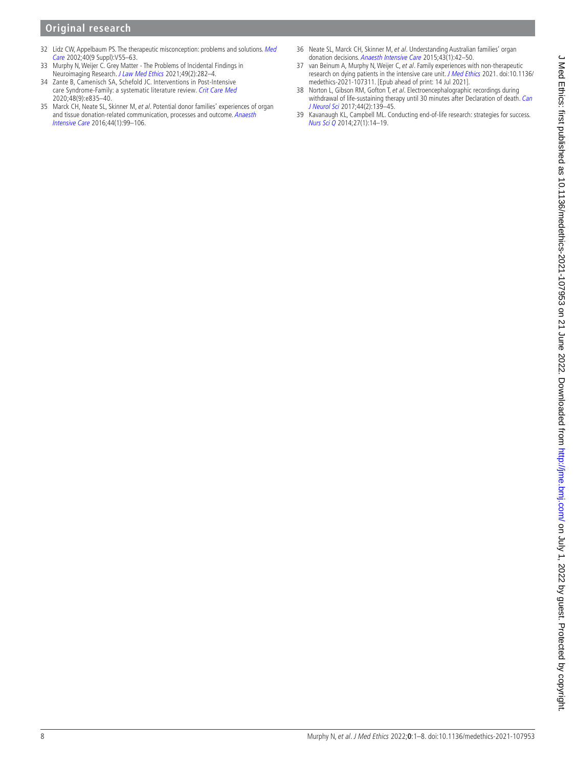# **Original research**

- <span id="page-7-0"></span>32 Lidz CW, Appelbaum PS. The therapeutic misconception: problems and solutions. Med [Care](http://dx.doi.org/10.1097/01.MLR.0000023956.25813.18) 2002;40(9 Suppl):V55–63.
- <span id="page-7-1"></span>33 Murphy N, Weijer C. Grey Matter - The Problems of Incidental Findings in Neuroimaging Research. [J Law Med Ethics](http://dx.doi.org/10.1017/jme.2021.39) 2021;49(2):282–4.
- <span id="page-7-2"></span>34 Zante B, Camenisch SA, Schefold JC. Interventions in Post-Intensive care Syndrome-Family: a systematic literature review. [Crit Care Med](http://dx.doi.org/10.1097/CCM.0000000000004450) 2020;48(9):e835–40.
- <span id="page-7-3"></span>35 Marck CH, Neate SL, Skinner M, et al. Potential donor families' experiences of organ and tissue donation-related communication, processes and outcome. [Anaesth](http://dx.doi.org/10.1177/0310057X1604400115)  [Intensive Care](http://dx.doi.org/10.1177/0310057X1604400115) 2016;44(1):99–106.
- 36 Neate SL, Marck CH, Skinner M, et al. Understanding Australian families' organ donation decisions. [Anaesth Intensive Care](http://dx.doi.org/10.1177/0310057X1504300107) 2015;43(1):42–50.
- <span id="page-7-5"></span>37 van Beinum A, Murphy N, Weijer C, et al. Family experiences with non-therapeutic research on dying patients in the intensive care unit. [J Med Ethics](http://dx.doi.org/10.1136/medethics-2021-107311) 2021. doi:10.1136/ medethics-2021-107311. [Epub ahead of print: 14 Jul 2021].
- <span id="page-7-4"></span>38 Norton L, Gibson RM, Gofton T, et al. Electroencephalographic recordings during withdrawal of life-sustaining therapy until 30 minutes after Declaration of death. Can [J Neurol Sci](http://dx.doi.org/10.1017/cjn.2016.309) 2017;44(2):139–45.
- <span id="page-7-6"></span>39 Kavanaugh KL, Campbell ML. Conducting end-of-life research: strategies for success. [Nurs Sci Q](http://dx.doi.org/10.1177/0894318413509711) 2014;27(1):14–19.